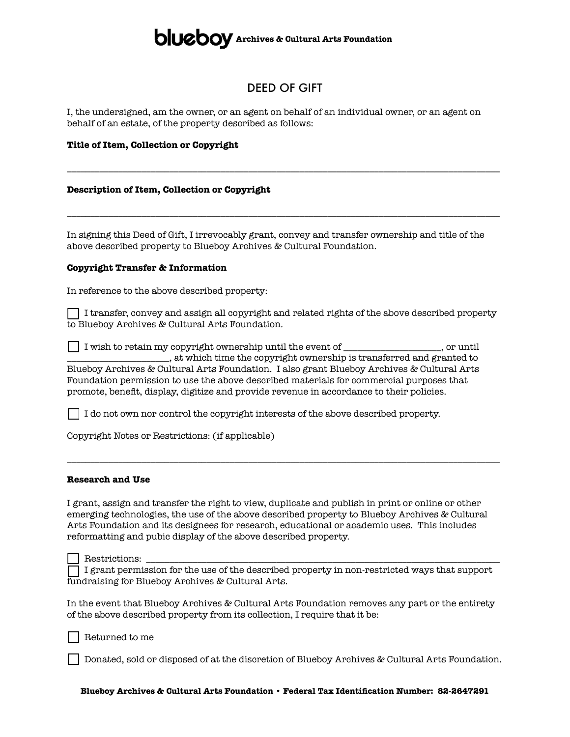## **ALLEDOV** Archives & Cultural Arts Foundation

### DEED OF GIFT

\_\_\_\_\_\_\_\_\_\_\_\_\_\_\_\_\_\_\_\_\_\_\_\_\_\_\_\_\_\_\_\_\_\_\_\_\_\_\_\_\_\_\_\_\_\_\_\_\_\_\_\_\_\_\_\_\_\_\_\_\_\_\_\_\_\_\_\_\_\_\_\_\_\_\_\_\_\_\_\_\_\_\_\_\_\_\_\_\_\_\_\_\_

\_\_\_\_\_\_\_\_\_\_\_\_\_\_\_\_\_\_\_\_\_\_\_\_\_\_\_\_\_\_\_\_\_\_\_\_\_\_\_\_\_\_\_\_\_\_\_\_\_\_\_\_\_\_\_\_\_\_\_\_\_\_\_\_\_\_\_\_\_\_\_\_\_\_\_\_\_\_\_\_\_\_\_\_\_\_\_\_\_\_\_\_\_

I, the undersigned, am the owner, or an agent on behalf of an individual owner, or an agent on behalf of an estate, of the property described as follows:

#### **Title of Item, Collection or Copyright**

#### **Description of Item, Collection or Copyright**

In signing this Deed of Gift, I irrevocably grant, convey and transfer ownership and title of the above described property to Blueboy Archives & Cultural Foundation.

#### **Copyright Transfer & Information**

In reference to the above described property:

 $\Box$  I transfer, convey and assign all copyright and related rights of the above described property to Blueboy Archives & Cultural Arts Foundation.

[ ] I wish to retain my copyright ownership until the event of \_\_\_\_\_\_\_\_\_\_\_\_\_\_\_\_\_\_\_\_\_, or until \_\_\_\_\_\_\_\_\_\_\_\_\_\_\_\_\_\_\_\_\_\_, at which time the copyright ownership is transferred and granted to Blueboy Archives & Cultural Arts Foundation. I also grant Blueboy Archives & Cultural Arts Foundation permission to use the above described materials for commercial purposes that promote, benefit, display, digitize and provide revenue in accordance to their policies.

[ ] I do not own nor control the copyright interests of the above described property.

Copyright Notes or Restrictions: (if applicable)

#### **Research and Use**

I grant, assign and transfer the right to view, duplicate and publish in print or online or other emerging technologies, the use of the above described property to Blueboy Archives & Cultural Arts Foundation and its designees for research, educational or academic uses. This includes reformatting and pubic display of the above described property.

\_\_\_\_\_\_\_\_\_\_\_\_\_\_\_\_\_\_\_\_\_\_\_\_\_\_\_\_\_\_\_\_\_\_\_\_\_\_\_\_\_\_\_\_\_\_\_\_\_\_\_\_\_\_\_\_\_\_\_\_\_\_\_\_\_\_\_\_\_\_\_\_\_\_\_\_\_\_\_\_\_\_\_\_\_\_\_\_\_\_\_\_\_

Restrictions:

[ ] I grant permission for the use of the described property in non-restricted ways that support fundraising for Blueboy Archives & Cultural Arts.

In the event that Blueboy Archives & Cultural Arts Foundation removes any part or the entirety of the above described property from its collection, I require that it be:

Returned to me

[ ] Donated, sold or disposed of at the discretion of Blueboy Archives & Cultural Arts Foundation.